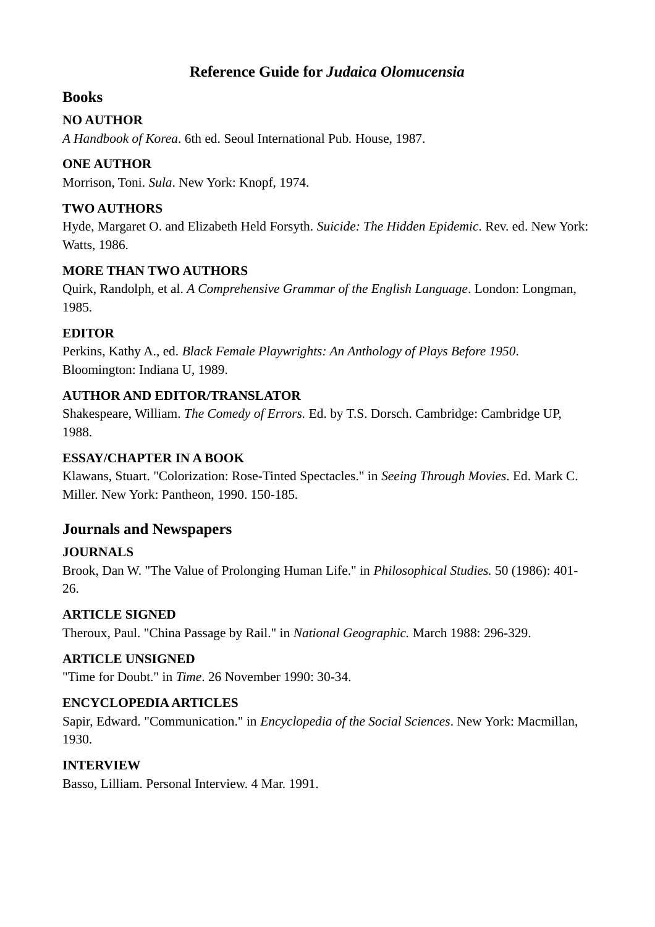# **Reference Guide for** *[Judaica Olomucensia](http://www.google.at/search?hl=de&tbo=p&tbm=bks&q=bibliogroup:)*

### **Books**

#### **NO AUTHOR**

*A Handbook of Korea*. 6th ed. Seoul International Pub*.* House, 1987.

### **ONE AUTHOR**

Morrison, Toni. *Sula*. New York: Knopf, 1974.

### **TWO AUTHORS**

Hyde, Margaret O. and Elizabeth Held Forsyth. *Suicide: The Hidden Epidemic*. Rev. ed. New York: Watts, 1986.

### **MORE THAN TWO AUTHORS**

Quirk, Randolph, et al. *A Comprehensive Grammar of the English Language*. London: Longman, 1985.

### **EDITOR**

Perkins, Kathy A., ed. *Black Female Playwrights: An Anthology of Plays Before 1950*. Bloomington: Indiana U, 1989.

# **AUTHOR AND EDITOR/TRANSLATOR**

Shakespeare, William. *The Comedy of Errors.* Ed. by T.S. Dorsch. Cambridge: Cambridge UP, 1988.

#### **ESSAY/CHAPTER IN A BOOK**

Klawans, Stuart. "Colorization: Rose-Tinted Spectacles." in *Seeing Through Movies*. Ed. Mark C. Miller. New York: Pantheon, 1990. 150-185.

# **Journals and Newspapers**

# **JOURNALS**

Brook, Dan W. "The Value of Prolonging Human Life." in *Philosophical Studies.* 50 (1986): 401- 26.

# **ARTICLE SIGNED**

Theroux, Paul. "China Passage by Rail." in *National Geographic.* March 1988: 296-329.

#### **ARTICLE UNSIGNED**

"Time for Doubt." in *Time*. 26 November 1990: 30-34.

#### **ENCYCLOPEDIA ARTICLES**

Sapir, Edward. "Communication." in *Encyclopedia of the Social Sciences*. New York: Macmillan, 1930.

# **INTERVIEW**

Basso, Lilliam. Personal Interview. 4 Mar. 1991.